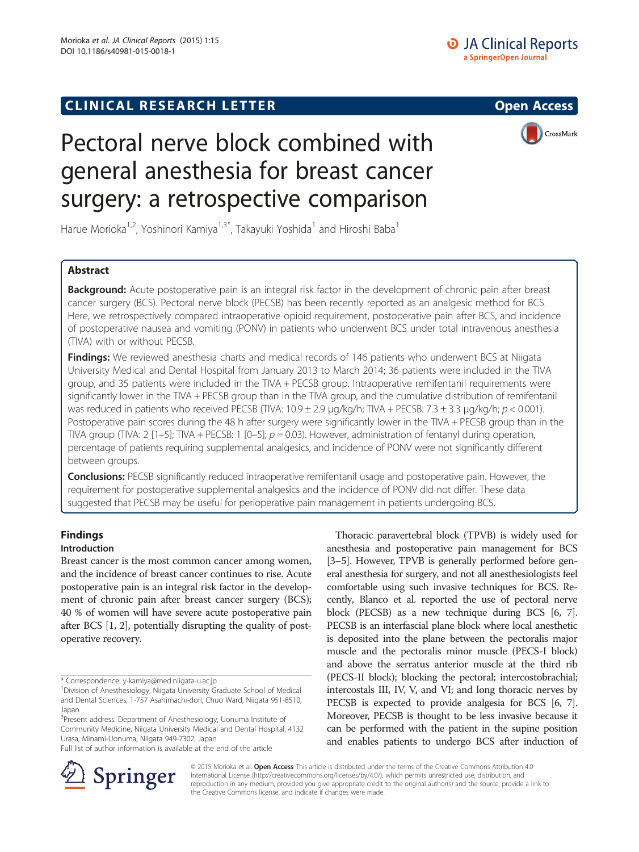# **CLINICAL RESEARCH LETTER CLINICAL RESEARCH LETTER Open Access**



# Pectoral nerve block combined with general anesthesia for breast cancer surgery: a retrospective comparison

Harue Morioka<sup>1,2</sup>, Yoshinori Kamiya<sup>1,3\*</sup>, Takayuki Yoshida<sup>1</sup> and Hiroshi Baba<sup>1</sup>

# Abstract

Background: Acute postoperative pain is an integral risk factor in the development of chronic pain after breast cancer surgery (BCS). Pectoral nerve block (PECSB) has been recently reported as an analgesic method for BCS. Here, we retrospectively compared intraoperative opioid requirement, postoperative pain after BCS, and incidence of postoperative nausea and vomiting (PONV) in patients who underwent BCS under total intravenous anesthesia (TIVA) with or without PECSB.

**Findings:** We reviewed anesthesia charts and medical records of 146 patients who underwent BCS at Niigata University Medical and Dental Hospital from January 2013 to March 2014; 36 patients were included in the TIVA group, and 35 patients were included in the TIVA + PECSB group. Intraoperative remifentanil requirements were significantly lower in the TIVA + PECSB group than in the TIVA group, and the cumulative distribution of remifentanil was reduced in patients who received PECSB (TIVA:  $10.9 \pm 2.9$  µg/kg/h; TIVA + PECSB:  $7.3 \pm 3.3$  µg/kg/h;  $p < 0.001$ ). Postoperative pain scores during the 48 h after surgery were significantly lower in the TIVA + PECSB group than in the TIVA group (TIVA: 2 [1–5]; TIVA + PECSB: 1 [0–5];  $p = 0.03$ ). However, administration of fentanyl during operation, percentage of patients requiring supplemental analgesics, and incidence of PONV were not significantly different between groups.

Conclusions: PECSB significantly reduced intraoperative remifentanil usage and postoperative pain. However, the requirement for postoperative supplemental analgesics and the incidence of PONV did not differ. These data suggested that PECSB may be useful for perioperative pain management in patients undergoing BCS.

# Findings

# Introduction

Breast cancer is the most common cancer among women, and the incidence of breast cancer continues to rise. Acute postoperative pain is an integral risk factor in the development of chronic pain after breast cancer surgery (BCS); 40 % of women will have severe acute postoperative pain after BCS [\[1](#page-4-0), [2](#page-4-0)], potentially disrupting the quality of postoperative recovery.

\* Correspondence: [y-kamiya@med.niigata-u.ac.jp](mailto:y-kamiya@med.niigata-u.ac.jp) <sup>1</sup>

<sup>3</sup>Present address: Department of Anesthesiology, Uonuma Institute of Community Medicine, Niigata University Medical and Dental Hospital, 4132 Urasa, Minami-Uonuma, Niigata 949-7302, Japan

Full list of author information is available at the end of the article

Thoracic paravertebral block (TPVB) is widely used for anesthesia and postoperative pain management for BCS [[3](#page-4-0)–[5\]](#page-4-0). However, TPVB is generally performed before general anesthesia for surgery, and not all anesthesiologists feel comfortable using such invasive techniques for BCS. Recently, Blanco et al. reported the use of pectoral nerve block (PECSB) as a new technique during BCS [[6](#page-4-0), [7](#page-4-0)]. PECSB is an interfascial plane block where local anesthetic is deposited into the plane between the pectoralis major muscle and the pectoralis minor muscle (PECS-I block) and above the serratus anterior muscle at the third rib (PECS-II block); blocking the pectoral; intercostobrachial; intercostals III, IV, V, and VI; and long thoracic nerves by PECSB is expected to provide analgesia for BCS [\[6, 7](#page-4-0)]. Moreover, PECSB is thought to be less invasive because it can be performed with the patient in the supine position and enables patients to undergo BCS after induction of



© 2015 Morioka et al. Open Access This article is distributed under the terms of the Creative Commons Attribution 4.0 International License ([http://creativecommons.org/licenses/by/4.0/\)](http://creativecommons.org/licenses/by/4.0/), which permits unrestricted use, distribution, and reproduction in any medium, provided you give appropriate credit to the original author(s) and the source, provide a link to the Creative Commons license, and indicate if changes were made.

<sup>&</sup>lt;sup>1</sup> Division of Anesthesiology, Niigata University Graduate School of Medical and Dental Sciences, 1-757 Asahimachi-dori, Chuo Ward, Niigata 951-8510, Japan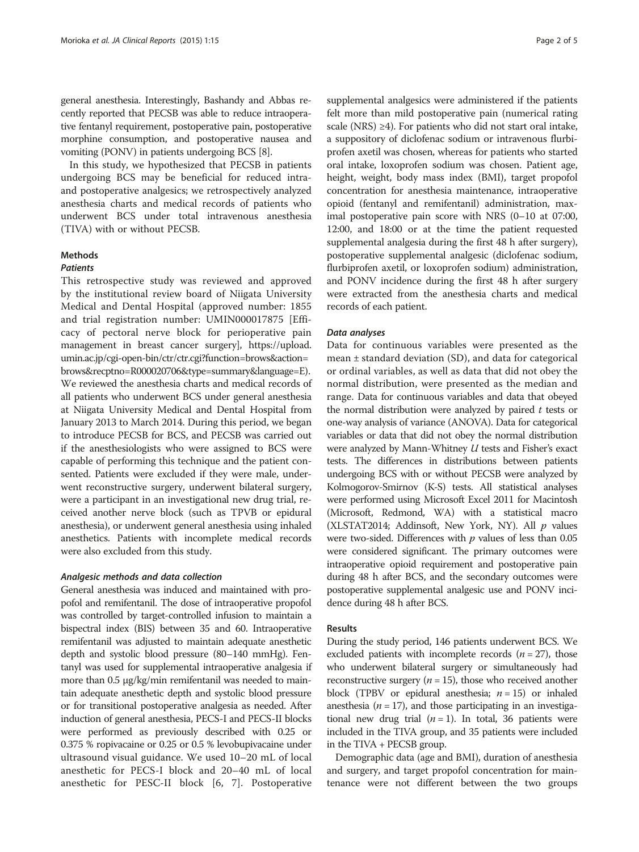general anesthesia. Interestingly, Bashandy and Abbas recently reported that PECSB was able to reduce intraoperative fentanyl requirement, postoperative pain, postoperative morphine consumption, and postoperative nausea and vomiting (PONV) in patients undergoing BCS [\[8\]](#page-4-0).

In this study, we hypothesized that PECSB in patients undergoing BCS may be beneficial for reduced intraand postoperative analgesics; we retrospectively analyzed anesthesia charts and medical records of patients who underwent BCS under total intravenous anesthesia (TIVA) with or without PECSB.

# Methods

# Patients

This retrospective study was reviewed and approved by the institutional review board of Niigata University Medical and Dental Hospital (approved number: 1855 and trial registration number: UMIN000017875 [Efficacy of pectoral nerve block for perioperative pain management in breast cancer surgery], [https://upload.](https://upload.umin.ac.jp/cgi-open-bin/ctr/ctr.cgi?function=brows&action=brows&recptno=R000020706&type=summary&language=E) [umin.ac.jp/cgi-open-bin/ctr/ctr.cgi?function=brows&action=](https://upload.umin.ac.jp/cgi-open-bin/ctr/ctr.cgi?function=brows&action=brows&recptno=R000020706&type=summary&language=E) [brows&recptno=R000020706&type=summary&language=E](https://upload.umin.ac.jp/cgi-open-bin/ctr/ctr.cgi?function=brows&action=brows&recptno=R000020706&type=summary&language=E)). We reviewed the anesthesia charts and medical records of all patients who underwent BCS under general anesthesia at Niigata University Medical and Dental Hospital from January 2013 to March 2014. During this period, we began to introduce PECSB for BCS, and PECSB was carried out if the anesthesiologists who were assigned to BCS were capable of performing this technique and the patient consented. Patients were excluded if they were male, underwent reconstructive surgery, underwent bilateral surgery, were a participant in an investigational new drug trial, received another nerve block (such as TPVB or epidural anesthesia), or underwent general anesthesia using inhaled anesthetics. Patients with incomplete medical records were also excluded from this study.

# Analgesic methods and data collection

General anesthesia was induced and maintained with propofol and remifentanil. The dose of intraoperative propofol was controlled by target-controlled infusion to maintain a bispectral index (BIS) between 35 and 60. Intraoperative remifentanil was adjusted to maintain adequate anesthetic depth and systolic blood pressure (80–140 mmHg). Fentanyl was used for supplemental intraoperative analgesia if more than 0.5 μg/kg/min remifentanil was needed to maintain adequate anesthetic depth and systolic blood pressure or for transitional postoperative analgesia as needed. After induction of general anesthesia, PECS-I and PECS-II blocks were performed as previously described with 0.25 or 0.375 % ropivacaine or 0.25 or 0.5 % levobupivacaine under ultrasound visual guidance. We used 10–20 mL of local anesthetic for PECS-I block and 20–40 mL of local anesthetic for PESC-II block [\[6](#page-4-0), [7](#page-4-0)]. Postoperative

supplemental analgesics were administered if the patients felt more than mild postoperative pain (numerical rating scale (NRS)  $\geq$ 4). For patients who did not start oral intake, a suppository of diclofenac sodium or intravenous flurbiprofen axetil was chosen, whereas for patients who started oral intake, loxoprofen sodium was chosen. Patient age, height, weight, body mass index (BMI), target propofol concentration for anesthesia maintenance, intraoperative opioid (fentanyl and remifentanil) administration, maximal postoperative pain score with NRS (0–10 at 07:00, 12:00, and 18:00 or at the time the patient requested supplemental analgesia during the first 48 h after surgery), postoperative supplemental analgesic (diclofenac sodium, flurbiprofen axetil, or loxoprofen sodium) administration, and PONV incidence during the first 48 h after surgery were extracted from the anesthesia charts and medical records of each patient.

# Data analyses

Data for continuous variables were presented as the mean ± standard deviation (SD), and data for categorical or ordinal variables, as well as data that did not obey the normal distribution, were presented as the median and range. Data for continuous variables and data that obeyed the normal distribution were analyzed by paired  $t$  tests or one-way analysis of variance (ANOVA). Data for categorical variables or data that did not obey the normal distribution were analyzed by Mann-Whitney U tests and Fisher's exact tests. The differences in distributions between patients undergoing BCS with or without PECSB were analyzed by Kolmogorov-Smirnov (K-S) tests. All statistical analyses were performed using Microsoft Excel 2011 for Macintosh (Microsoft, Redmond, WA) with a statistical macro (XLSTAT2014; Addinsoft, New York, NY). All  $p$  values were two-sided. Differences with  $p$  values of less than 0.05 were considered significant. The primary outcomes were intraoperative opioid requirement and postoperative pain during 48 h after BCS, and the secondary outcomes were postoperative supplemental analgesic use and PONV incidence during 48 h after BCS.

## Results

During the study period, 146 patients underwent BCS. We excluded patients with incomplete records  $(n = 27)$ , those who underwent bilateral surgery or simultaneously had reconstructive surgery ( $n = 15$ ), those who received another block (TPBV or epidural anesthesia;  $n = 15$ ) or inhaled anesthesia ( $n = 17$ ), and those participating in an investigational new drug trial  $(n = 1)$ . In total, 36 patients were included in the TIVA group, and 35 patients were included in the TIVA + PECSB group.

Demographic data (age and BMI), duration of anesthesia and surgery, and target propofol concentration for maintenance were not different between the two groups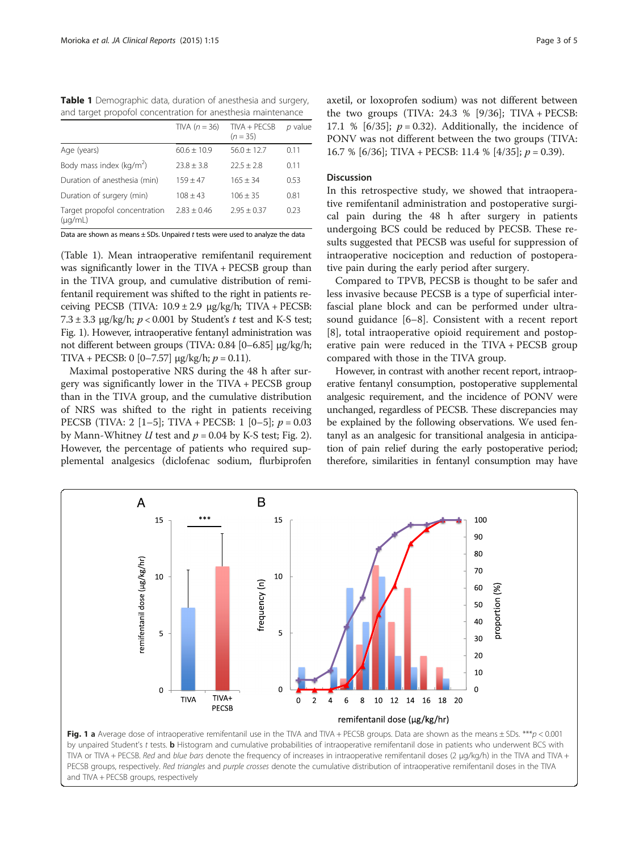|  |  | Table 1 Demographic data, duration of anesthesia and surgery, |  |  |
|--|--|---------------------------------------------------------------|--|--|
|  |  | and target propofol concentration for anesthesia maintenance  |  |  |

|                                               | TIVA $(n = 36)$ | $TIVA + PECSB$<br>$(n = 35)$ | p value |
|-----------------------------------------------|-----------------|------------------------------|---------|
| Age (years)                                   | $60.6 + 10.9$   | $56.0 + 12.7$                | 0.11    |
| Body mass index ( $\text{kg/m}^2$ )           | $23.8 + 3.8$    | $22.5 + 2.8$                 | 0.11    |
| Duration of anesthesia (min)                  | $159 + 47$      | $165 + 34$                   | 0.53    |
| Duration of surgery (min)                     | $108 + 43$      | $106 + 35$                   | 0.81    |
| Target propofol concentration<br>$(\mu q/mL)$ | $2.83 + 0.46$   | $7.95 + 0.37$                | 0.23    |

Data are shown as means  $\pm$  SDs. Unpaired t tests were used to analyze the data

(Table 1). Mean intraoperative remifentanil requirement was significantly lower in the TIVA + PECSB group than in the TIVA group, and cumulative distribution of remifentanil requirement was shifted to the right in patients receiving PECSB (TIVA:  $10.9 \pm 2.9$  μg/kg/h; TIVA + PECSB:  $7.3 \pm 3.3$  μg/kg/h;  $p < 0.001$  by Student's t test and K-S test; Fig. 1). However, intraoperative fentanyl administration was not different between groups (TIVA: 0.84 [0–6.85] μg/kg/h; TIVA + PECSB: 0  $[0-7.57]$   $\mu$ g/kg/h;  $p = 0.11$ ).

Maximal postoperative NRS during the 48 h after surgery was significantly lower in the TIVA + PECSB group than in the TIVA group, and the cumulative distribution of NRS was shifted to the right in patients receiving PECSB (TIVA: 2 [[1](#page-4-0)–[5\]](#page-4-0); TIVA + PECSB: 1 [0–5];  $p = 0.03$ by Mann-Whitney  $U$  test and  $p = 0.04$  by K-S test; Fig. [2](#page-3-0)). However, the percentage of patients who required supplemental analgesics (diclofenac sodium, flurbiprofen axetil, or loxoprofen sodium) was not different between the two groups  $(TIVA: 24.3 % [9/36]; TIVA + PECSB:$ 17.1 % [6/35];  $p = 0.32$ ). Additionally, the incidence of PONV was not different between the two groups (TIVA: 16.7 % [6/36]; TIVA + PECSB: 11.4 % [4/35];  $p = 0.39$ ).

#### Discussion

In this retrospective study, we showed that intraoperative remifentanil administration and postoperative surgical pain during the 48 h after surgery in patients undergoing BCS could be reduced by PECSB. These results suggested that PECSB was useful for suppression of intraoperative nociception and reduction of postoperative pain during the early period after surgery.

Compared to TPVB, PECSB is thought to be safer and less invasive because PECSB is a type of superficial interfascial plane block and can be performed under ultrasound guidance [\[6](#page-4-0)–[8\]](#page-4-0). Consistent with a recent report [[8\]](#page-4-0), total intraoperative opioid requirement and postoperative pain were reduced in the TIVA + PECSB group compared with those in the TIVA group.

However, in contrast with another recent report, intraoperative fentanyl consumption, postoperative supplemental analgesic requirement, and the incidence of PONV were unchanged, regardless of PECSB. These discrepancies may be explained by the following observations. We used fentanyl as an analgesic for transitional analgesia in anticipation of pain relief during the early postoperative period; therefore, similarities in fentanyl consumption may have



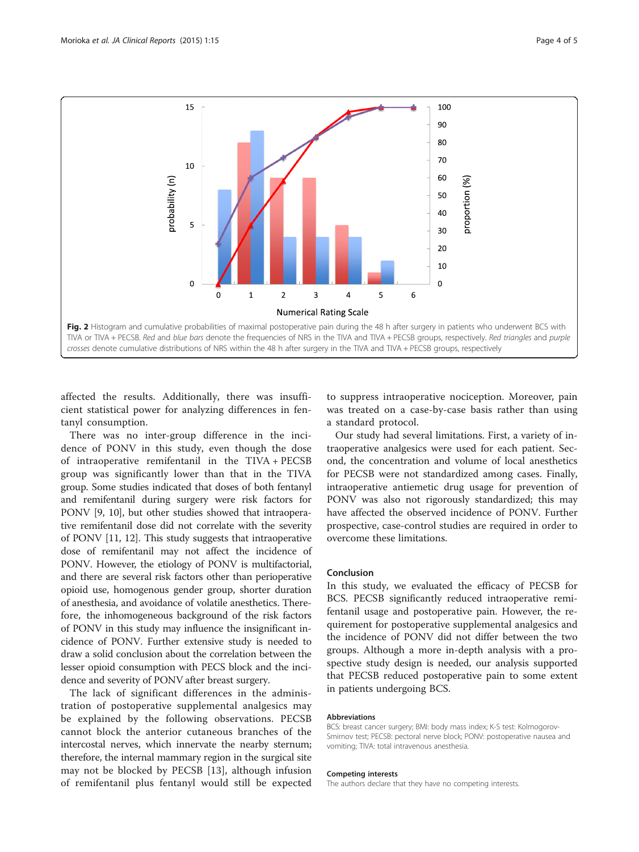<span id="page-3-0"></span>

affected the results. Additionally, there was insufficient statistical power for analyzing differences in fentanyl consumption.

There was no inter-group difference in the incidence of PONV in this study, even though the dose of intraoperative remifentanil in the TIVA + PECSB group was significantly lower than that in the TIVA group. Some studies indicated that doses of both fentanyl and remifentanil during surgery were risk factors for PONV [[9](#page-4-0), [10\]](#page-4-0), but other studies showed that intraoperative remifentanil dose did not correlate with the severity of PONV [\[11, 12\]](#page-4-0). This study suggests that intraoperative dose of remifentanil may not affect the incidence of PONV. However, the etiology of PONV is multifactorial, and there are several risk factors other than perioperative opioid use, homogenous gender group, shorter duration of anesthesia, and avoidance of volatile anesthetics. Therefore, the inhomogeneous background of the risk factors of PONV in this study may influence the insignificant incidence of PONV. Further extensive study is needed to draw a solid conclusion about the correlation between the lesser opioid consumption with PECS block and the incidence and severity of PONV after breast surgery.

The lack of significant differences in the administration of postoperative supplemental analgesics may be explained by the following observations. PECSB cannot block the anterior cutaneous branches of the intercostal nerves, which innervate the nearby sternum; therefore, the internal mammary region in the surgical site may not be blocked by PECSB [\[13\]](#page-4-0), although infusion of remifentanil plus fentanyl would still be expected to suppress intraoperative nociception. Moreover, pain was treated on a case-by-case basis rather than using a standard protocol.

Our study had several limitations. First, a variety of intraoperative analgesics were used for each patient. Second, the concentration and volume of local anesthetics for PECSB were not standardized among cases. Finally, intraoperative antiemetic drug usage for prevention of PONV was also not rigorously standardized; this may have affected the observed incidence of PONV. Further prospective, case-control studies are required in order to overcome these limitations.

# Conclusion

In this study, we evaluated the efficacy of PECSB for BCS. PECSB significantly reduced intraoperative remifentanil usage and postoperative pain. However, the requirement for postoperative supplemental analgesics and the incidence of PONV did not differ between the two groups. Although a more in-depth analysis with a prospective study design is needed, our analysis supported that PECSB reduced postoperative pain to some extent in patients undergoing BCS.

#### Abbreviations

BCS: breast cancer surgery; BMI: body mass index; K-S test: Kolmogorov-Smirnov test; PECSB: pectoral nerve block; PONV: postoperative nausea and vomiting; TIVA: total intravenous anesthesia.

#### Competing interests

The authors declare that they have no competing interests.